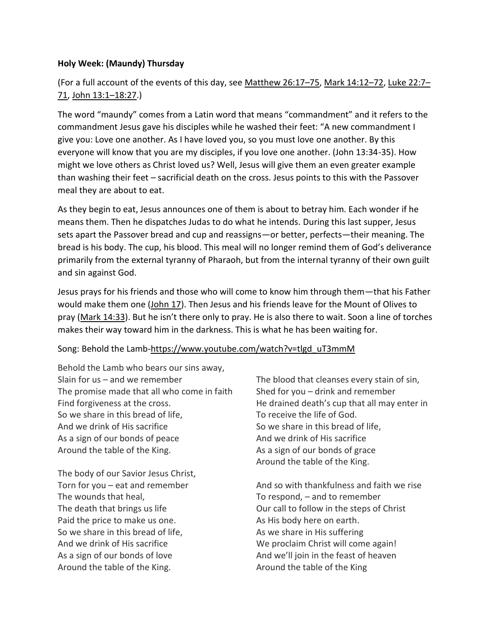## **Holy Week: (Maundy) Thursday**

# (For a full account of the events of this day, see [Matthew 26:17](https://www.esv.org/Matthew%2026%3A17%E2%80%9375/)–75, [Mark 14:12](https://www.esv.org/Mark%2014%3A12%E2%80%9372/)–72, [Luke 22:7](https://www.esv.org/Luke%2022%3A7%E2%80%9371/)– [71,](https://www.esv.org/Luke%2022%3A7%E2%80%9371/) [John 13:1](https://www.esv.org/John%2013%3A1%E2%80%9318%3A27/)–18:27.)

The word "maundy" comes from a Latin word that means "commandment" and it refers to the commandment Jesus gave his disciples while he washed their feet: "A new commandment I give you: Love one another. As I have loved you, so you must love one another. By this everyone will know that you are my disciples, if you love one another. (John 13:34-35). How might we love others as Christ loved us? Well, Jesus will give them an even greater example than washing their feet – sacrificial death on the cross. Jesus points to this with the Passover meal they are about to eat.

As they begin to eat, Jesus announces one of them is about to betray him. Each wonder if he means them. Then he dispatches Judas to do what he intends. During this last supper, Jesus sets apart the Passover bread and cup and reassigns—or better, perfects—their meaning. The bread is his body. The cup, his blood. This meal will no longer remind them of God's deliverance primarily from the external tyranny of Pharaoh, but from the internal tyranny of their own guilt and sin against God.

Jesus prays for his friends and those who will come to know him through them—that his Father would make them one [\(John 17\)](https://www.esv.org/John%2017/). Then Jesus and his friends leave for the Mount of Olives to pray [\(Mark 14:33](https://www.esv.org/Mark%2014%3A33/)). But he isn't there only to pray. He is also there to wait. Soon a line of torches makes their way toward him in the darkness. This is what he has been waiting for.

## Song: Behold the Lamb[-https://www.youtube.com/watch?v=tlgd\\_uT3mmM](https://www.youtube.com/watch?v=tlgd_uT3mmM)

Behold the Lamb who bears our sins away, Slain for us – and we remember The promise made that all who come in faith Find forgiveness at the cross. So we share in this bread of life, And we drink of His sacrifice As a sign of our bonds of peace Around the table of the King.

The body of our Savior Jesus Christ, Torn for you – eat and remember The wounds that heal, The death that brings us life Paid the price to make us one. So we share in this bread of life, And we drink of His sacrifice As a sign of our bonds of love Around the table of the King.

The blood that cleanses every stain of sin, Shed for you – drink and remember He drained death's cup that all may enter in To receive the life of God. So we share in this bread of life, And we drink of His sacrifice As a sign of our bonds of grace Around the table of the King.

And so with thankfulness and faith we rise To respond, – and to remember Our call to follow in the steps of Christ As His body here on earth. As we share in His suffering We proclaim Christ will come again! And we'll join in the feast of heaven Around the table of the King